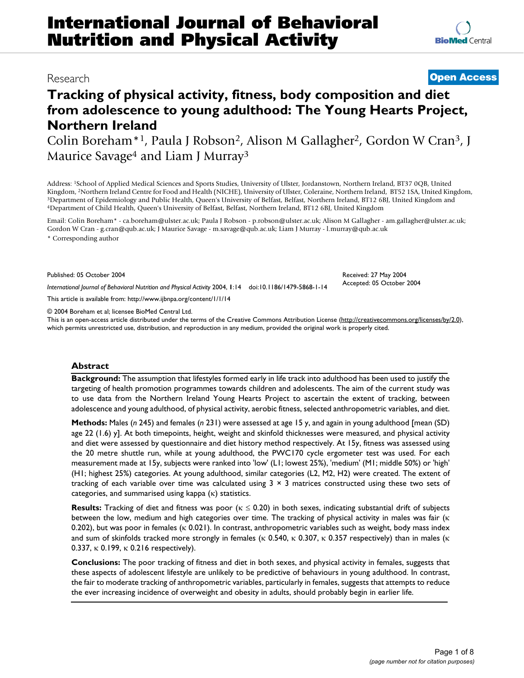# Research **[Open Access](http://www.biomedcentral.com/info/about/charter/)**

**[BioMed](http://www.biomedcentral.com/)** Central

# **Tracking of physical activity, fitness, body composition and diet from adolescence to young adulthood: The Young Hearts Project, Northern Ireland**

Colin Boreham\*1, Paula J Robson2, Alison M Gallagher2, Gordon W Cran3, J Maurice Savage<sup>4</sup> and Liam J Murray<sup>3</sup>

Address: <sup>1</sup>School of Applied Medical Sciences and Sports Studies, University of Ulster, Jordanstown, Northern Ireland, BT37 0QB, United Kingdom, <sup>2</sup>Northern Ireland Centre for Food and Health (NICHE), University of Ulster <sup>3</sup>Department of Epidemiology and Public Health, Queen's University of Belfast, Belfast, Northern Ireland, BT12 6BJ, United Kingdom and<br><sup>4</sup>Department of Child Health, Queen's University of Belfast, Belfast, Northern Irelan

Email: Colin Boreham\* - ca.boreham@ulster.ac.uk; Paula J Robson - p.robson@ulster.ac.uk; Alison M Gallagher - am.gallagher@ulster.ac.uk; Gordon W Cran - g.cran@qub.ac.uk; J Maurice Savage - m.savage@qub.ac.uk; Liam J Murray - l.murray@qub.ac.uk \* Corresponding author

Published: 05 October 2004

*International Journal of Behavioral Nutrition and Physical Activity* 2004, **1**:14 doi:10.1186/1479-5868-1-14

[This article is available from: http://www.ijbnpa.org/content/1/1/14](http://www.ijbnpa.org/content/1/1/14)

© 2004 Boreham et al; licensee BioMed Central Ltd.

This is an open-access article distributed under the terms of the Creative Commons Attribution License (<http://creativecommons.org/licenses/by/2.0>), which permits unrestricted use, distribution, and reproduction in any medium, provided the original work is properly cited.

#### **Abstract**

**Background:** The assumption that lifestyles formed early in life track into adulthood has been used to justify the targeting of health promotion programmes towards children and adolescents. The aim of the current study was to use data from the Northern Ireland Young Hearts Project to ascertain the extent of tracking, between adolescence and young adulthood, of physical activity, aerobic fitness, selected anthropometric variables, and diet.

**Methods:** Males (*n* 245) and females (*n* 231) were assessed at age 15 y, and again in young adulthood [mean (SD) age 22 (1.6) y]. At both timepoints, height, weight and skinfold thicknesses were measured, and physical activity and diet were assessed by questionnaire and diet history method respectively. At 15y, fitness was assessed using the 20 metre shuttle run, while at young adulthood, the PWC170 cycle ergometer test was used. For each measurement made at 15y, subjects were ranked into 'low' (L1; lowest 25%), 'medium' (M1; middle 50%) or 'high' (H1; highest 25%) categories. At young adulthood, similar categories (L2, M2, H2) were created. The extent of tracking of each variable over time was calculated using  $3 \times 3$  matrices constructed using these two sets of categories, and summarised using kappa (κ) statistics.

**Results:** Tracking of diet and fitness was poor (κ ≤ 0.20) in both sexes, indicating substantial drift of subjects between the low, medium and high categories over time. The tracking of physical activity in males was fair (κ 0.202), but was poor in females (κ 0.021). In contrast, anthropometric variables such as weight, body mass index and sum of skinfolds tracked more strongly in females (κ 0.540, κ 0.307, κ 0.357 respectively) than in males (κ 0.337,  $\kappa$  0.199,  $\kappa$  0.216 respectively).

**Conclusions:** The poor tracking of fitness and diet in both sexes, and physical activity in females, suggests that these aspects of adolescent lifestyle are unlikely to be predictive of behaviours in young adulthood. In contrast, the fair to moderate tracking of anthropometric variables, particularly in females, suggests that attempts to reduce the ever increasing incidence of overweight and obesity in adults, should probably begin in earlier life.

Received: 27 May 2004 Accepted: 05 October 2004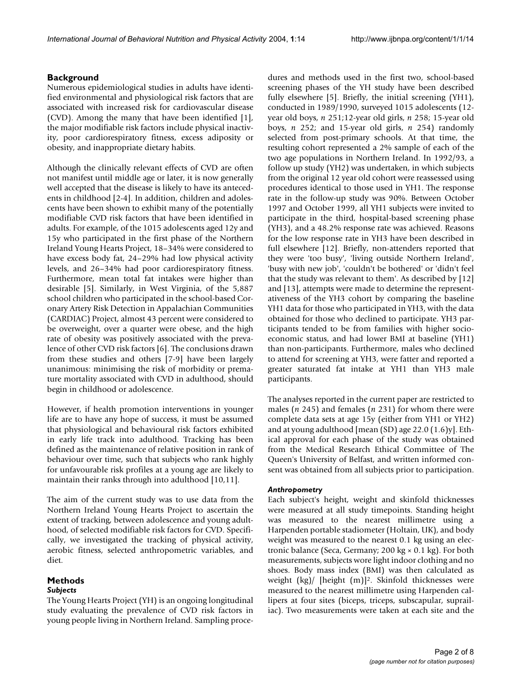### **Background**

Numerous epidemiological studies in adults have identified environmental and physiological risk factors that are associated with increased risk for cardiovascular disease (CVD). Among the many that have been identified [1], the major modifiable risk factors include physical inactivity, poor cardiorespiratory fitness, excess adiposity or obesity, and inappropriate dietary habits.

Although the clinically relevant effects of CVD are often not manifest until middle age or later, it is now generally well accepted that the disease is likely to have its antecedents in childhood [2-4]. In addition, children and adolescents have been shown to exhibit many of the potentially modifiable CVD risk factors that have been identified in adults. For example, of the 1015 adolescents aged 12y and 15y who participated in the first phase of the Northern Ireland Young Hearts Project, 18–34% were considered to have excess body fat, 24–29% had low physical activity levels, and 26–34% had poor cardiorespiratory fitness. Furthermore, mean total fat intakes were higher than desirable [5]. Similarly, in West Virginia, of the 5,887 school children who participated in the school-based Coronary Artery Risk Detection in Appalachian Communities (CARDIAC) Project, almost 43 percent were considered to be overweight, over a quarter were obese, and the high rate of obesity was positively associated with the prevalence of other CVD risk factors [6]. The conclusions drawn from these studies and others [7-9] have been largely unanimous: minimising the risk of morbidity or premature mortality associated with CVD in adulthood, should begin in childhood or adolescence.

However, if health promotion interventions in younger life are to have any hope of success, it must be assumed that physiological and behavioural risk factors exhibited in early life track into adulthood. Tracking has been defined as the maintenance of relative position in rank of behaviour over time, such that subjects who rank highly for unfavourable risk profiles at a young age are likely to maintain their ranks through into adulthood [10,11].

The aim of the current study was to use data from the Northern Ireland Young Hearts Project to ascertain the extent of tracking, between adolescence and young adulthood, of selected modifiable risk factors for CVD. Specifically, we investigated the tracking of physical activity, aerobic fitness, selected anthropometric variables, and diet.

# **Methods**

#### *Subjects*

The Young Hearts Project (YH) is an ongoing longitudinal study evaluating the prevalence of CVD risk factors in young people living in Northern Ireland. Sampling procedures and methods used in the first two, school-based screening phases of the YH study have been described fully elsewhere [5]. Briefly, the initial screening (YH1), conducted in 1989/1990, surveyed 1015 adolescents (12 year old boys, *n* 251;12-year old girls, *n* 258; 15-year old boys, *n* 252; and 15-year old girls, *n* 254) randomly selected from post-primary schools. At that time, the resulting cohort represented a 2% sample of each of the two age populations in Northern Ireland. In 1992/93, a follow up study (YH2) was undertaken, in which subjects from the original 12 year old cohort were reassessed using procedures identical to those used in YH1. The response rate in the follow-up study was 90%. Between October 1997 and October 1999, all YH1 subjects were invited to participate in the third, hospital-based screening phase (YH3), and a 48.2% response rate was achieved. Reasons for the low response rate in YH3 have been described in full elsewhere [12]. Briefly, non-attenders reported that they were 'too busy', 'living outside Northern Ireland', 'busy with new job', 'couldn't be bothered' or 'didn't feel that the study was relevant to them'. As described by [12] and [13], attempts were made to determine the representativeness of the YH3 cohort by comparing the baseline YH1 data for those who participated in YH3, with the data obtained for those who declined to participate. YH3 participants tended to be from families with higher socioeconomic status, and had lower BMI at baseline (YH1) than non-participants. Furthermore, males who declined to attend for screening at YH3, were fatter and reported a greater saturated fat intake at YH1 than YH3 male participants.

The analyses reported in the current paper are restricted to males (*n* 245) and females (*n* 231) for whom there were complete data sets at age 15y (either from YH1 or YH2) and at young adulthood [mean (SD) age 22.0 (1.6)y]. Ethical approval for each phase of the study was obtained from the Medical Research Ethical Committee of The Queen's University of Belfast, and written informed consent was obtained from all subjects prior to participation.

#### *Anthropometry*

Each subject's height, weight and skinfold thicknesses were measured at all study timepoints. Standing height was measured to the nearest millimetre using a Harpenden portable stadiometer (Holtain, UK), and body weight was measured to the nearest 0.1 kg using an electronic balance (Seca, Germany; 200 kg × 0.1 kg). For both measurements, subjects wore light indoor clothing and no shoes. Body mass index (BMI) was then calculated as weight (kg)/ [height (m)]2. Skinfold thicknesses were measured to the nearest millimetre using Harpenden callipers at four sites (biceps, triceps, subscapular, suprailiac). Two measurements were taken at each site and the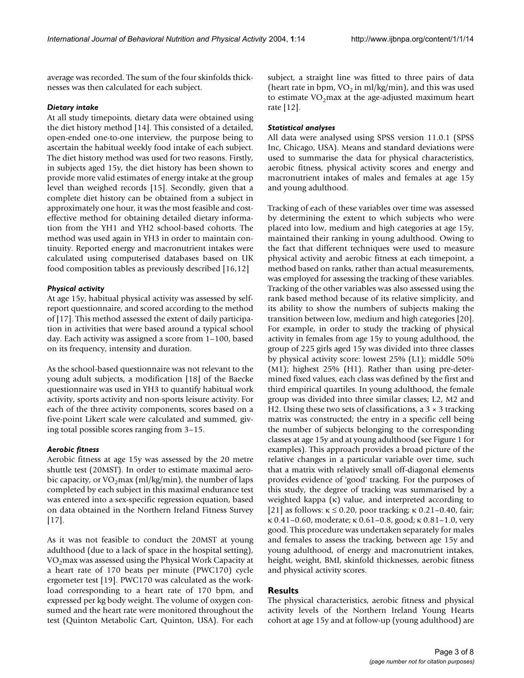average was recorded. The sum of the four skinfolds thicknesses was then calculated for each subject.

### *Dietary intake*

At all study timepoints, dietary data were obtained using the diet history method [14]. This consisted of a detailed, open-ended one-to-one interview, the purpose being to ascertain the habitual weekly food intake of each subject. The diet history method was used for two reasons. Firstly, in subjects aged 15y, the diet history has been shown to provide more valid estimates of energy intake at the group level than weighed records [15]. Secondly, given that a complete diet history can be obtained from a subject in approximately one hour, it was the most feasible and costeffective method for obtaining detailed dietary information from the YH1 and YH2 school-based cohorts. The method was used again in YH3 in order to maintain continuity. Reported energy and macronutrient intakes were calculated using computerised databases based on UK food composition tables as previously described [16,12]

# *Physical activity*

At age 15y, habitual physical activity was assessed by selfreport questionnaire, and scored according to the method of [17]. This method assessed the extent of daily participation in activities that were based around a typical school day. Each activity was assigned a score from 1–100, based on its frequency, intensity and duration.

As the school-based questionnaire was not relevant to the young adult subjects, a modification [18] of the Baecke questionnaire was used in YH3 to quantify habitual work activity, sports activity and non-sports leisure activity. For each of the three activity components, scores based on a five-point Likert scale were calculated and summed, giving total possible scores ranging from 3–15.

# *Aerobic fitness*

Aerobic fitness at age 15y was assessed by the 20 metre shuttle test (20MST). In order to estimate maximal aerobic capacity, or  $VO_2$ max (ml/kg/min), the number of laps completed by each subject in this maximal endurance test was entered into a sex-specific regression equation, based on data obtained in the Northern Ireland Fitness Survey [17].

As it was not feasible to conduct the 20MST at young adulthood (due to a lack of space in the hospital setting),  $VO<sub>2</sub>$ max was assessed using the Physical Work Capacity at a heart rate of 170 beats per minute (PWC170) cycle ergometer test [19]. PWC170 was calculated as the workload corresponding to a heart rate of 170 bpm, and expressed per kg body weight. The volume of oxygen consumed and the heart rate were monitored throughout the test (Quinton Metabolic Cart, Quinton, USA). For each subject, a straight line was fitted to three pairs of data (heart rate in bpm,  $VO<sub>2</sub>$  in ml/kg/min), and this was used to estimate  $VO<sub>2</sub>$ max at the age-adjusted maximum heart rate [12].

# *Statistical analyses*

All data were analysed using SPSS version 11.0.1 (SPSS Inc, Chicago, USA). Means and standard deviations were used to summarise the data for physical characteristics, aerobic fitness, physical activity scores and energy and macronutrient intakes of males and females at age 15y and young adulthood.

Tracking of each of these variables over time was assessed by determining the extent to which subjects who were placed into low, medium and high categories at age 15y, maintained their ranking in young adulthood. Owing to the fact that different techniques were used to measure physical activity and aerobic fitness at each timepoint, a method based on ranks, rather than actual measurements, was employed for assessing the tracking of these variables. Tracking of the other variables was also assessed using the rank based method because of its relative simplicity, and its ability to show the numbers of subjects making the transition between low, medium and high categories [20]. For example, in order to study the tracking of physical activity in females from age 15y to young adulthood, the group of 225 girls aged 15y was divided into three classes by physical activity score: lowest 25% (L1); middle 50% (M1); highest 25% (H1). Rather than using pre-determined fixed values, each class was defined by the first and third empirical quartiles. In young adulthood, the female group was divided into three similar classes; L2, M2 and H2. Using these two sets of classifications, a  $3 \times 3$  tracking matrix was constructed; the entry in a specific cell being the number of subjects belonging to the corresponding classes at age 15y and at young adulthood (see Figure [1](#page-3-0) for examples). This approach provides a broad picture of the relative changes in a particular variable over time, such that a matrix with relatively small off-diagonal elements provides evidence of 'good' tracking. For the purposes of this study, the degree of tracking was summarised by a weighted kappa (κ) value, and interpreted according to [21] as follows:  $\kappa \le 0.20$ , poor tracking;  $\kappa$  0.21–0.40, fair; κ 0.41–0.60, moderate; κ 0.61–0.8, good; κ 0.81–1.0, very good. This procedure was undertaken separately for males and females to assess the tracking, between age 15y and young adulthood, of energy and macronutrient intakes, height, weight, BMI, skinfold thicknesses, aerobic fitness and physical activity scores.

# **Results**

The physical characteristics, aerobic fitness and physical activity levels of the Northern Ireland Young Hearts cohort at age 15y and at follow-up (young adulthood) are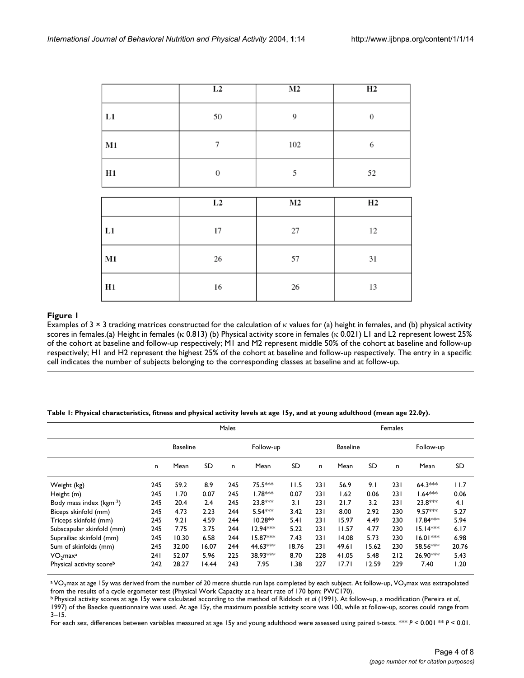<span id="page-3-0"></span>

|                | L2     | M <sub>2</sub> | H2    |
|----------------|--------|----------------|-------|
| L1             | 50     | 9              | $\,0$ |
| $\mathbf{M1}$  | $\tau$ | 102            | 6     |
| H1             | $\,0$  | 5              | 52    |
|                |        |                |       |
|                | L2     | M <sub>2</sub> | H2    |
| L1             | 17     | $27\,$         | 12    |
| $\mathbf{M1}$  | 26     | 57             | 31    |
| H <sub>1</sub> | 16     | 26             | 13    |

# **Examples of 3 × 3 tracking matrices scores in females. The calculation of κ values for (a) height in females, a**

Examples of 3 × 3 tracking matrices constructed for the calculation of κ values for (a) height in females, and (b) physical activity scores in females.(a) Height in females (κ 0.813) (b) Physical activity score in females (κ 0.021) L1 and L2 represent lowest 25% of the cohort at baseline and follow-up respectively; M1 and M2 represent middle 50% of the cohort at baseline and follow-up respectively; H1 and H2 represent the highest 25% of the cohort at baseline and follow-up respectively. The entry in a specific cell indicates the number of subjects belonging to the corresponding classes at baseline and at follow-up.

<span id="page-3-1"></span>**Table 1: Physical characteristics, fitness and physical activity levels at age 15y, and at young adulthood (mean age 22.0y).**

|                                      | Males           |       |       |     |            |       | Females                      |       |       |     |            |           |
|--------------------------------------|-----------------|-------|-------|-----|------------|-------|------------------------------|-------|-------|-----|------------|-----------|
|                                      | <b>Baseline</b> |       |       |     | Follow-up  |       | <b>Baseline</b><br>Follow-up |       |       |     |            |           |
|                                      | n               | Mean  | SD    | n   | Mean       | SD    | n                            | Mean  | SD    | n   | Mean       | <b>SD</b> |
| Weight (kg)                          | 245             | 59.2  | 8.9   | 245 | 75.5***    | 11.5  | 231                          | 56.9  | 9.1   | 231 | $64.3***$  | 11.7      |
| Height (m)                           | 245             | l.70  | 0.07  | 245 | $1.78***$  | 0.07  | 231                          | 1.62  | 0.06  | 231 | $1.64***$  | 0.06      |
| Body mass index (kgm <sup>-2</sup> ) | 245             | 20.4  | 2.4   | 245 | 23.8***    | 3.1   | 231                          | 21.7  | 3.2   | 231 | $23.8***$  | 4.1       |
| Biceps skinfold (mm)                 | 245             | 4.73  | 2.23  | 244 | $5.54***$  | 3.42  | 231                          | 8.00  | 2.92  | 230 | $9.57***$  | 5.27      |
| Triceps skinfold (mm)                | 245             | 9.21  | 4.59  | 244 | $10.28**$  | 5.41  | 231                          | 15.97 | 4.49  | 230 | 17.84 ***  | 5.94      |
| Subscapular skinfold (mm)            | 245             | 7.75  | 3.75  | 244 | $12.94***$ | 5.22  | 231                          | 11.57 | 4.77  | 230 | $15.14***$ | 6.17      |
| Suprailiac skinfold (mm)             | 245             | 10.30 | 6.58  | 244 | 15.87***   | 7.43  | 231                          | 14.08 | 5.73  | 230 | $16.01***$ | 6.98      |
| Sum of skinfolds (mm)                | 245             | 32.00 | 16.07 | 244 | 44.63***   | 18.76 | 231                          | 49.61 | 15.62 | 230 | 58.56***   | 20.76     |
| VO <sub>2</sub> max <sup>a</sup>     | 241             | 52.07 | 5.96  | 225 | 38.93***   | 8.70  | 228                          | 41.05 | 5.48  | 212 | 26.90***   | 5.43      |
| Physical activity scoreb             | 242             | 28.27 | 14.44 | 243 | 7.95       | 1.38  | 227                          | 17.71 | 12.59 | 229 | 7.40       | 1.20      |

a VO<sub>2</sub>max at age 15y was derived from the number of 20 metre shuttle run laps completed by each subject. At follow-up, VO<sub>2</sub>max was extrapolated from the results of a cycle ergometer test (Physical Work Capacity at a heart rate of 170 bpm; PWC170).

b Physical activity scores at age 15y were calculated according to the method of Riddoch *et al* (1991). At follow-up, a modification (Pereira *et al*,

1997) of the Baecke questionnaire was used. At age 15y, the maximum possible activity score was 100, while at follow-up, scores could range from 3–15.

For each sex, differences between variables measured at age 15y and young adulthood were assessed using paired t-tests. \*\*\* *P* < 0.001 \*\* *P* < 0.01.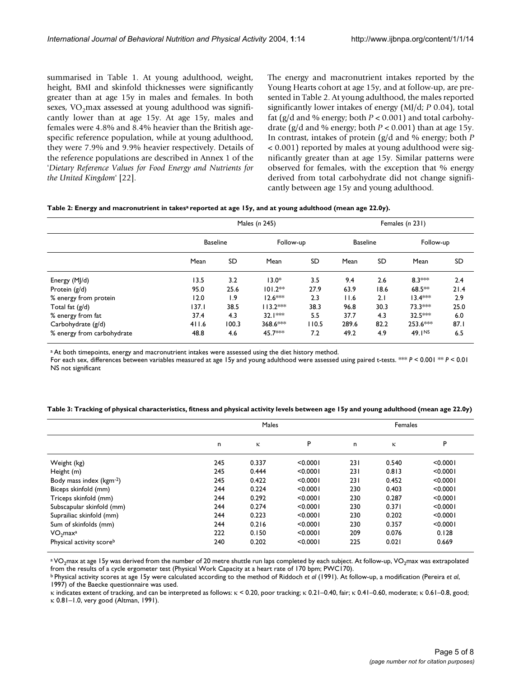summarised in Table [1](#page-3-1). At young adulthood, weight, height, BMI and skinfold thicknesses were significantly greater than at age 15y in males and females. In both sexes,  $VO<sub>2</sub>$  max assessed at young adulthood was significantly lower than at age 15y. At age 15y, males and females were 4.8% and 8.4% heavier than the British agespecific reference population, while at young adulthood, they were 7.9% and 9.9% heavier respectively. Details of the reference populations are described in Annex 1 of the '*Dietary Reference Values for Food Energy and Nutrients for the United Kingdom*' [22].

The energy and macronutrient intakes reported by the Young Hearts cohort at age 15y, and at follow-up, are presented in Table [2](#page-4-0). At young adulthood, the males reported significantly lower intakes of energy (MJ/d; *P* 0.04), total fat (g/d and % energy; both *P* < 0.001) and total carbohydrate (g/d and % energy; both  $P < 0.001$ ) than at age 15y. In contrast, intakes of protein (g/d and % energy; both *P* < 0.001) reported by males at young adulthood were significantly greater than at age 15y. Similar patterns were observed for females, with the exception that % energy derived from total carbohydrate did not change significantly between age 15y and young adulthood.

<span id="page-4-0"></span>

| Table 2: Energy and macronutrient in takesª reported at age 15y, and at young adulthood (mean age 22.0y). |  |  |
|-----------------------------------------------------------------------------------------------------------|--|--|
|-----------------------------------------------------------------------------------------------------------|--|--|

|                            | Males (n 245)   |           |            |           |                 |           | Females (n 231) |      |  |  |
|----------------------------|-----------------|-----------|------------|-----------|-----------------|-----------|-----------------|------|--|--|
|                            | <b>Baseline</b> |           | Follow-up  |           | <b>Baseline</b> |           | Follow-up       |      |  |  |
|                            | Mean            | <b>SD</b> | Mean       | <b>SD</b> | Mean            | <b>SD</b> | Mean            | SD   |  |  |
| Energy (MJ/d)              | 13.5            | 3.2       | $13.0*$    | 3.5       | 9.4             | 2.6       | $8.3***$        | 2.4  |  |  |
| Protein $(g/d)$            | 95.0            | 25.6      | $101.2**$  | 27.9      | 63.9            | 18.6      | 68.5**          | 21.4 |  |  |
| % energy from protein      | 12.0            | 1.9       | $12.6***$  | 2.3       | 11.6            | 2.1       | $13.4***$       | 2.9  |  |  |
| Total fat $(g/d)$          | 137.1           | 38.5      | $113.2***$ | 38.3      | 96.8            | 30.3      | 73.3***         | 25.0 |  |  |
| % energy from fat          | 37.4            | 4.3       | $32.1***$  | 5.5       | 37.7            | 4.3       | $32.5***$       | 6.0  |  |  |
| Carbohydrate (g/d)         | 411.6           | 100.3     | 368.6***   | 110.5     | 289.6           | 82.2      | $253.6***$      | 87.1 |  |  |
| % energy from carbohydrate | 48.8            | 4.6       | 45.7***    | 7.2       | 49.2            | 4.9       | 49.1NS          | 6.5  |  |  |

a At both timepoints, energy and macronutrient intakes were assessed using the diet history method.

For each sex, differences between variables measured at age 15y and young adulthood were assessed using paired t-tests. \*\*\* *P* < 0.001 \*\* *P* < 0.01 NS not significant

<span id="page-4-1"></span>

| Table 3: Tracking of physical characteristics, fitness and physical activity levels between age 15y and young adulthood (mean age 22.0y) |  |  |  |
|------------------------------------------------------------------------------------------------------------------------------------------|--|--|--|
|------------------------------------------------------------------------------------------------------------------------------------------|--|--|--|

|                                  | Males |       |          |     | Females |          |  |  |
|----------------------------------|-------|-------|----------|-----|---------|----------|--|--|
|                                  | n     | к     | P        | n   | ĸ       | P        |  |  |
| Weight (kg)                      | 245   | 0.337 | < 0.0001 | 231 | 0.540   | < 0.0001 |  |  |
| Height (m)                       | 245   | 0.444 | < 0.0001 | 231 | 0.813   | < 0.0001 |  |  |
| Body mass index (kgm-2)          | 245   | 0.422 | < 0.0001 | 231 | 0.452   | < 0.0001 |  |  |
| Biceps skinfold (mm)             | 244   | 0.224 | < 0.0001 | 230 | 0.403   | < 0.0001 |  |  |
| Triceps skinfold (mm)            | 244   | 0.292 | < 0.0001 | 230 | 0.287   | < 0.0001 |  |  |
| Subscapular skinfold (mm)        | 244   | 0.274 | < 0.0001 | 230 | 0.371   | < 0.0001 |  |  |
| Suprailiac skinfold (mm)         | 244   | 0.223 | < 0.0001 | 230 | 0.202   | < 0.0001 |  |  |
| Sum of skinfolds (mm)            | 244   | 0.216 | < 0.0001 | 230 | 0.357   | < 0.0001 |  |  |
| VO <sub>2</sub> max <sup>a</sup> | 222   | 0.150 | < 0.0001 | 209 | 0.076   | 0.128    |  |  |
| Physical activity scoreb         | 240   | 0.202 | < 0.0001 | 225 | 0.021   | 0.669    |  |  |

a VO<sub>2</sub>max at age 15y was derived from the number of 20 metre shuttle run laps completed by each subject. At follow-up, VO<sub>2</sub>max was extrapolated from the results of a cycle ergometer test (Physical Work Capacity at a heart rate of 170 bpm; PWC170).

b Physical activity scores at age 15y were calculated according to the method of Riddoch *et al* (1991). At follow-up, a modification (Pereira *et al*, 1997) of the Baecke questionnaire was used.

κ indicates extent of tracking, and can be interpreted as follows: κ < 0.20, poor tracking; κ 0.21–0.40, fair; κ 0.41–0.60, moderate; κ 0.61–0.8, good; κ 0.81–1.0, very good (Altman, 1991).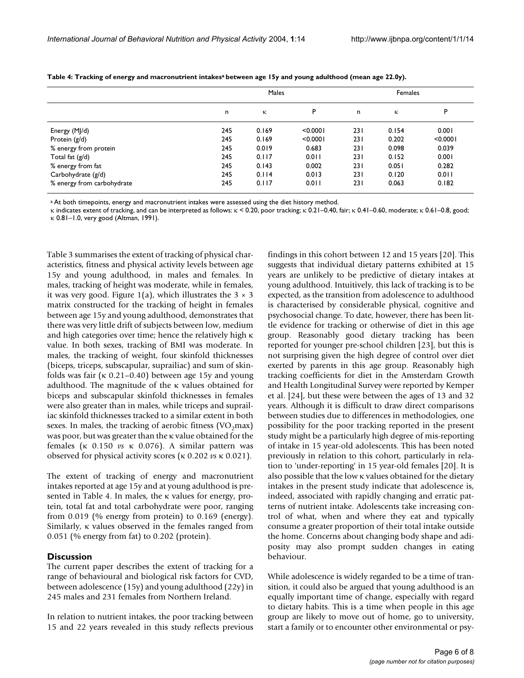|                            | Males |       |          |      | Females |          |  |
|----------------------------|-------|-------|----------|------|---------|----------|--|
|                            | n     | κ     | P        | n    | κ       | P        |  |
| Energy (MJ/d)              | 245   | 0.169 | < 0.0001 | 231  | 0.154   | 0.001    |  |
| Protein (g/d)              | 245   | 0.169 | < 0.0001 | 231  | 0.202   | < 0.0001 |  |
| % energy from protein      | 245   | 0.019 | 0.683    | 231  | 0.098   | 0.039    |  |
| Total fat $(g/d)$          | 245   | 0.117 | 0.011    | 231  | 0.152   | 0.001    |  |
| % energy from fat          | 245   | 0.143 | 0.002    | 23 I | 0.051   | 0.282    |  |
| Carbohydrate (g/d)         | 245   | 0.114 | 0.013    | 231  | 0.120   | 0.011    |  |
| % energy from carbohydrate | 245   | 0.117 | 0.011    | 231  | 0.063   | 0.182    |  |

<span id="page-5-0"></span>Table 4: Tracking of energy and macronutrient intakes<sup>a</sup> between age 15y and young adulthood (mean age 22.0y).

a At both timepoints, energy and macronutrient intakes were assessed using the diet history method.

κ indicates extent of tracking, and can be interpreted as follows: κ < 0.20, poor tracking; κ 0.21–0.40, fair; κ 0.41–0.60, moderate; κ 0.61–0.8, good; κ 0.81–1.0, very good (Altman, 1991).

Table [3](#page-4-1) summarises the extent of tracking of physical characteristics, fitness and physical activity levels between age 15y and young adulthood, in males and females. In males, tracking of height was moderate, while in females, it was very good. Figure [1\(](#page-3-0)a), which illustrates the  $3 \times 3$ matrix constructed for the tracking of height in females between age 15y and young adulthood, demonstrates that there was very little drift of subjects between low, medium and high categories over time; hence the relatively high κ value. In both sexes, tracking of BMI was moderate. In males, the tracking of weight, four skinfold thicknesses (biceps, triceps, subscapular, suprailiac) and sum of skinfolds was fair (κ 0.21–0.40) between age 15y and young adulthood. The magnitude of the κ values obtained for biceps and subscapular skinfold thicknesses in females were also greater than in males, while triceps and suprailiac skinfold thicknesses tracked to a similar extent in both sexes. In males, the tracking of aerobic fitness  $(VO<sub>2</sub>max)$ was poor, but was greater than the κ value obtained for the females (κ 0.150 *vs* κ 0.076). A similar pattern was observed for physical activity scores (κ 0.202 *vs* κ 0.021).

The extent of tracking of energy and macronutrient intakes reported at age 15y and at young adulthood is presented in Table [4](#page-5-0). In males, the κ values for energy, protein, total fat and total carbohydrate were poor, ranging from 0.019 (% energy from protein) to 0.169 (energy). Similarly, κ values observed in the females ranged from 0.051 (% energy from fat) to 0.202 (protein).

#### **Discussion**

The current paper describes the extent of tracking for a range of behavioural and biological risk factors for CVD, between adolescence (15y) and young adulthood (22y) in 245 males and 231 females from Northern Ireland.

In relation to nutrient intakes, the poor tracking between 15 and 22 years revealed in this study reflects previous findings in this cohort between 12 and 15 years [20]. This suggests that individual dietary patterns exhibited at 15 years are unlikely to be predictive of dietary intakes at young adulthood. Intuitively, this lack of tracking is to be expected, as the transition from adolescence to adulthood is characterised by considerable physical, cognitive and psychosocial change. To date, however, there has been little evidence for tracking or otherwise of diet in this age group. Reasonably good dietary tracking has been reported for younger pre-school children [23], but this is not surprising given the high degree of control over diet exerted by parents in this age group. Reasonably high tracking coefficients for diet in the Amsterdam Growth and Health Longitudinal Survey were reported by Kemper et al. [24], but these were between the ages of 13 and 32 years. Although it is difficult to draw direct comparisons between studies due to differences in methodologies, one possibility for the poor tracking reported in the present study might be a particularly high degree of mis-reporting of intake in 15 year-old adolescents. This has been noted previously in relation to this cohort, particularly in relation to 'under-reporting' in 15 year-old females [20]. It is also possible that the low κ values obtained for the dietary intakes in the present study indicate that adolescence is, indeed, associated with rapidly changing and erratic patterns of nutrient intake. Adolescents take increasing control of what, when and where they eat and typically consume a greater proportion of their total intake outside the home. Concerns about changing body shape and adiposity may also prompt sudden changes in eating behaviour.

While adolescence is widely regarded to be a time of transition, it could also be argued that young adulthood is an equally important time of change, especially with regard to dietary habits. This is a time when people in this age group are likely to move out of home, go to university, start a family or to encounter other environmental or psy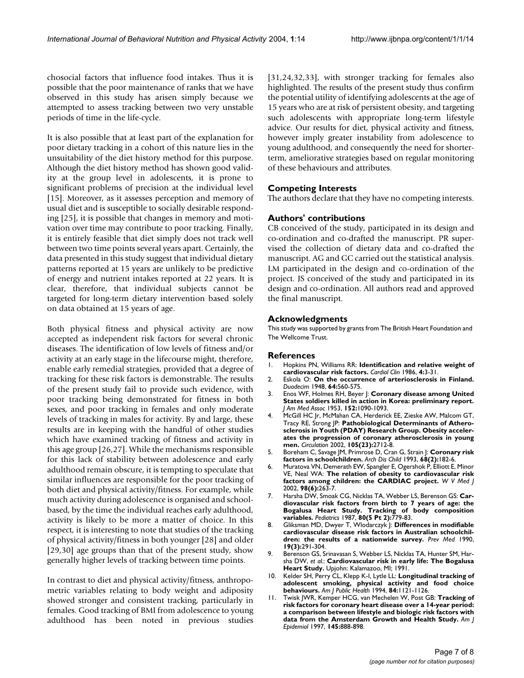chosocial factors that influence food intakes. Thus it is possible that the poor maintenance of ranks that we have observed in this study has arisen simply because we attempted to assess tracking between two very unstable periods of time in the life-cycle.

It is also possible that at least part of the explanation for poor dietary tracking in a cohort of this nature lies in the unsuitability of the diet history method for this purpose. Although the diet history method has shown good validity at the group level in adolescents, it is prone to significant problems of precision at the individual level [15]. Moreover, as it assesses perception and memory of usual diet and is susceptible to socially desirable responding [25], it is possible that changes in memory and motivation over time may contribute to poor tracking. Finally, it is entirely feasible that diet simply does not track well between two time points several years apart. Certainly, the data presented in this study suggest that individual dietary patterns reported at 15 years are unlikely to be predictive of energy and nutrient intakes reported at 22 years. It is clear, therefore, that individual subjects cannot be targeted for long-term dietary intervention based solely on data obtained at 15 years of age.

Both physical fitness and physical activity are now accepted as independent risk factors for several chronic diseases. The identification of low levels of fitness and/or activity at an early stage in the lifecourse might, therefore, enable early remedial strategies, provided that a degree of tracking for these risk factors is demonstrable. The results of the present study fail to provide such evidence, with poor tracking being demonstrated for fitness in both sexes, and poor tracking in females and only moderate levels of tracking in males for activity. By and large, these results are in keeping with the handful of other studies which have examined tracking of fitness and activity in this age group [26,27]. While the mechanisms responsible for this lack of stability between adolescence and early adulthood remain obscure, it is tempting to speculate that similar influences are responsible for the poor tracking of both diet and physical activity/fitness. For example, while much activity during adolescence is organised and schoolbased, by the time the individual reaches early adulthood, activity is likely to be more a matter of choice. In this respect, it is interesting to note that studies of the tracking of physical activity/fitness in both younger [28] and older [29,30] age groups than that of the present study, show generally higher levels of tracking between time points.

In contrast to diet and physical activity/fitness, anthropometric variables relating to body weight and adiposity showed stronger and consistent tracking, particularly in females. Good tracking of BMI from adolescence to young adulthood has been noted in previous studies [31,24,32,33], with stronger tracking for females also highlighted. The results of the present study thus confirm the potential utility of identifying adolescents at the age of 15 years who are at risk of persistent obesity, and targeting such adolescents with appropriate long-term lifestyle advice. Our results for diet, physical activity and fitness, however imply greater instability from adolescence to young adulthood, and consequently the need for shorterterm, ameliorative strategies based on regular monitoring of these behaviours and attributes.

# **Competing Interests**

The authors declare that they have no competing interests.

#### **Authors' contributions**

CB conceived of the study, participated in its design and co-ordination and co-drafted the manuscript. PR supervised the collection of dietary data and co-drafted the manuscript. AG and GC carried out the statistical analysis. LM participated in the design and co-ordination of the project. JS conceived of the study and participated in its design and co-ordination. All authors read and approved the final manuscript.

#### **Acknowledgments**

This study was supported by grants from The British Heart Foundation and The Wellcome Trust.

#### **References**

- 1. Hopkins PN, Williams RR: **[Identification and relative weight of](http://www.ncbi.nlm.nih.gov/entrez/query.fcgi?cmd=Retrieve&db=PubMed&dopt=Abstract&list_uids=3518932) [cardiovascular risk factors.](http://www.ncbi.nlm.nih.gov/entrez/query.fcgi?cmd=Retrieve&db=PubMed&dopt=Abstract&list_uids=3518932)** *Cardiol Clin* 1986, **4:**3-31.
- 2. Eskola O: **On the occurrence of arteriosclerosis in Finland.** *Duodecim* 1948, **64:**560-575.
- 3. Enos WF, Holmes RH, Beyer J: **Coronary disease among United States soldiers killed in action in Korea: preliminary report.** *J Am Med Assoc* 1953, **152:**1090-1093.
- 4. McGill HC Jr, McMahan CA, Herderick EE, Zieske AW, Malcom GT, Tracy RE, Strong JP: **[Pathobiological Determinants of Athero](http://www.ncbi.nlm.nih.gov/entrez/query.fcgi?cmd=Retrieve&db=PubMed&dopt=Abstract&list_uids=12057983)[sclerosis in Youth \(PDAY\) Research Group. Obesity acceler](http://www.ncbi.nlm.nih.gov/entrez/query.fcgi?cmd=Retrieve&db=PubMed&dopt=Abstract&list_uids=12057983)ates the progression of coronary atherosclerosis in young [men.](http://www.ncbi.nlm.nih.gov/entrez/query.fcgi?cmd=Retrieve&db=PubMed&dopt=Abstract&list_uids=12057983)** *Circulation* 2002, **105(23):**2712-8.
- 5. Boreham C, Savage JM, Primrose D, Cran G, Strain J: **[Coronary risk](http://www.ncbi.nlm.nih.gov/entrez/query.fcgi?cmd=Retrieve&db=PubMed&dopt=Abstract&list_uids=8481039) [factors in schoolchildren.](http://www.ncbi.nlm.nih.gov/entrez/query.fcgi?cmd=Retrieve&db=PubMed&dopt=Abstract&list_uids=8481039)** *Arch Dis Child* 1993, **68(2):**182-6.
- 6. Muratova VN, Demerath EW, Spangler E, Ogershok P, Elliott E, Minor VE, Neal WA: **[The relation of obesity to cardiovascular risk](http://www.ncbi.nlm.nih.gov/entrez/query.fcgi?cmd=Retrieve&db=PubMed&dopt=Abstract&list_uids=12645279) [factors among children: the CARDIAC project.](http://www.ncbi.nlm.nih.gov/entrez/query.fcgi?cmd=Retrieve&db=PubMed&dopt=Abstract&list_uids=12645279)** *W V Med J* 2002, **98(6):**263-7.
- 7. Harsha DW, Smoak CG, Nicklas TA, Webber LS, Berenson GS: **[Car](http://www.ncbi.nlm.nih.gov/entrez/query.fcgi?cmd=Retrieve&db=PubMed&dopt=Abstract&list_uids=3670988)diovascular risk factors from birth to 7 years of age: the [Bogalusa Heart Study. Tracking of body composition](http://www.ncbi.nlm.nih.gov/entrez/query.fcgi?cmd=Retrieve&db=PubMed&dopt=Abstract&list_uids=3670988) [variables.](http://www.ncbi.nlm.nih.gov/entrez/query.fcgi?cmd=Retrieve&db=PubMed&dopt=Abstract&list_uids=3670988)** *Pediatrics* 1987, **80(5 Pt 2):**779-83.
- 8. Gliksman MD, Dwyer T, Wlodarczyk J: **[Differences in modifiable](http://www.ncbi.nlm.nih.gov/entrez/query.fcgi?cmd=Retrieve&db=PubMed&dopt=Abstract&list_uids=2377591) [cardiovascular disease risk factors in Australian schoolchil](http://www.ncbi.nlm.nih.gov/entrez/query.fcgi?cmd=Retrieve&db=PubMed&dopt=Abstract&list_uids=2377591)[dren: the results of a nationwide survey.](http://www.ncbi.nlm.nih.gov/entrez/query.fcgi?cmd=Retrieve&db=PubMed&dopt=Abstract&list_uids=2377591)** *Prev Med* 1990, **19(3):**291-304.
- 9. Berenson GS, Srinavasan S, Webber LS, Nicklas TA, Hunter SM, Harsha DW, *et al.*: **Cardiovascular risk in early life: The Bogalusa Heart Study.** Upjohn: Kalamazoo, MI; 1991.
- 10. Kelder SH, Perry CL, Klepp K-I, Lytle LL: **[Longitudinal tracking of](http://www.ncbi.nlm.nih.gov/entrez/query.fcgi?cmd=Retrieve&db=PubMed&dopt=Abstract&list_uids=8017536) [adolescent smoking, physical activity and food choice](http://www.ncbi.nlm.nih.gov/entrez/query.fcgi?cmd=Retrieve&db=PubMed&dopt=Abstract&list_uids=8017536) [behaviours.](http://www.ncbi.nlm.nih.gov/entrez/query.fcgi?cmd=Retrieve&db=PubMed&dopt=Abstract&list_uids=8017536)** *Am J Public Health* 1994, **84:**1121-1126.
- 11. Twisk JWR, Kemper HCG, van Mechelen W, Post GB: **[Tracking of](http://www.ncbi.nlm.nih.gov/entrez/query.fcgi?cmd=Retrieve&db=PubMed&dopt=Abstract&list_uids=9149660) [risk factors for coronary heart disease over a 14-year period:](http://www.ncbi.nlm.nih.gov/entrez/query.fcgi?cmd=Retrieve&db=PubMed&dopt=Abstract&list_uids=9149660) a comparison between lifestyle and biologic risk factors with [data from the Amsterdam Growth and Health Study.](http://www.ncbi.nlm.nih.gov/entrez/query.fcgi?cmd=Retrieve&db=PubMed&dopt=Abstract&list_uids=9149660)** *Am J Epidemiol* 1997, **145:**888-898.